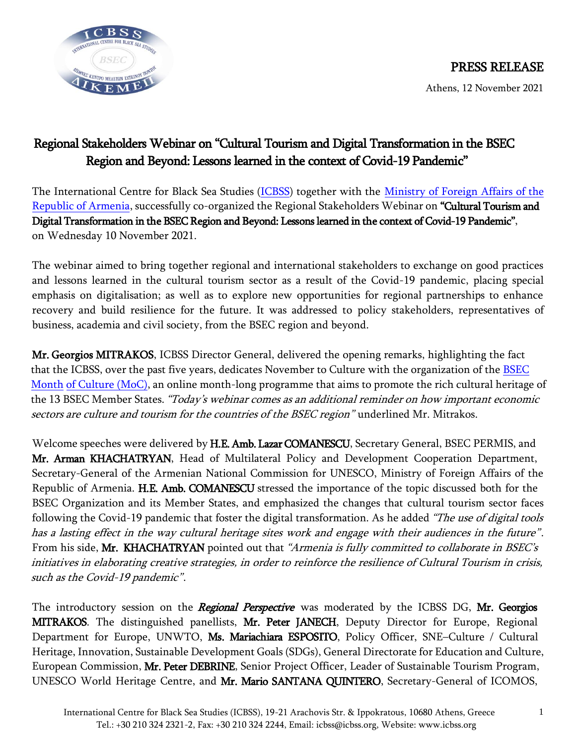

## Regional Stakeholders Webinar on "Cultural Tourism and Digital Transformation in the BSEC Region and Beyond: Lessons learned in the context of Covid-19 Pandemic"

The International Centre for Black Sea Studies [\(ICBSS\)](http://icbss.org/) together with the [Ministry of Foreign Affairs of the](https://www.mfa.am/en/)  [Republic of Armenia,](https://www.mfa.am/en/) successfully co-organized the Regional Stakeholders Webinar on "Cultural Tourism and Digital Transformation in the BSEC Region and Beyond: Lessons learned in the context of Covid-19 Pandemic", on Wednesday 10 November 2021.

The webinar aimed to bring together regional and international stakeholders to exchange on good practices and lessons learned in the cultural tourism sector as a result of the Covid-19 pandemic, placing special emphasis on digitalisation; as well as to explore new opportunities for regional partnerships to enhance recovery and build resilience for the future. It was addressed to policy stakeholders, representatives of business, academia and civil society, from the BSEC region and beyond.

Mr. Georgios MITRAKOS, ICBSS Director General, delivered the opening remarks, highlighting the fact that the ICBSS, over the past five years, dedicates November to Culture with the organization o[f the BSEC](https://icbss.org/event/bsec-month-of-culture-2021/)  Month [of Culture](https://icbss.org/event/bsec-month-of-culture-2021/) (MoC), an online month-long programme that aims to promote the rich cultural heritage of the 13 BSEC Member States. "Today's webinar comes as an additional reminder on how important economic sectors are culture and tourism for the countries of the BSEC region" underlined Mr. Mitrakos.

Welcome speeches were delivered by H.E. Amb. Lazar COMANESCU, Secretary General, BSEC PERMIS, and Mr. Arman KHACHATRYAN, Head of Multilateral Policy and Development Cooperation Department, Secretary-General of the Armenian National Commission for UNESCO, Ministry of Foreign Affairs of the Republic of Armenia. H.E. Amb. COMANESCU stressed the importance of the topic discussed both for the BSEC Organization and its Member States, and emphasized the changes that cultural tourism sector faces following the Covid-19 pandemic that foster the digital transformation. As he added "The use of digital tools has a lasting effect in the way cultural heritage sites work and engage with their audiences in the future". From his side, Mr. KHACHATRYAN pointed out that "Armenia is fully committed to collaborate in BSEC's initiatives in elaborating creative strategies, in order to reinforce the resilience of Cultural Tourism in crisis, such as the Covid-19 pandemic".

The introductory session on the *Regional Perspective* was moderated by the ICBSS DG, Mr. Georgios **MITRAKOS.** The distinguished panellists, Mr. Peter JANECH, Deputy Director for Europe, Regional Department for Europe, UNWTO, Ms. Mariachiara ESPOSITO, Policy Officer, SNE-Culture / Cultural Heritage, Innovation, Sustainable Development Goals (SDGs), General Directorate for Education and Culture, European Commission, Mr. Peter DEBRINE, Senior Project Officer, Leader of Sustainable Tourism Program, UNESCO World Heritage Centre, and Mr. Mario SANTANA QUINTERO, Secretary-General of ICOMOS,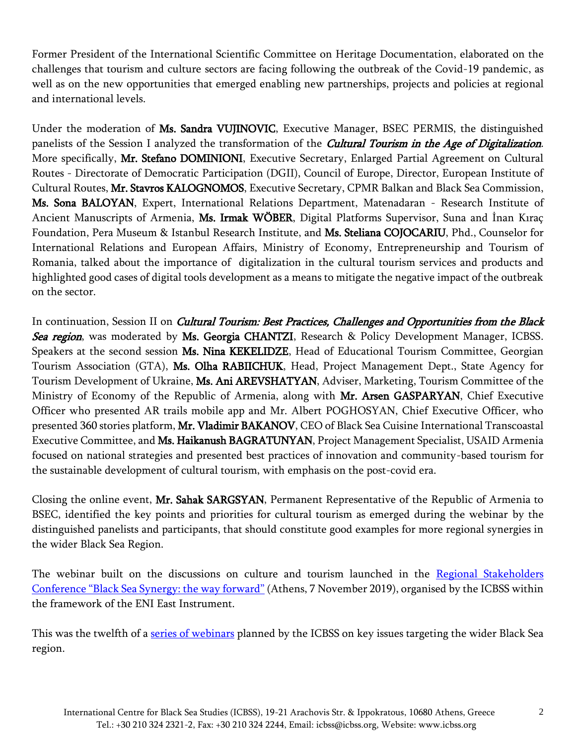Former President of the International Scientific Committee on Heritage Documentation, elaborated on the challenges that tourism and culture sectors are facing following the outbreak of the Covid-19 pandemic, as well as on the new opportunities that emerged enabling new partnerships, projects and policies at regional and international levels.

Under the moderation of Ms. Sandra VUJINOVIC, Executive Manager, BSEC PERMIS, the distinguished panelists of the Session I analyzed the transformation of the *Cultural Tourism in the Age of Digitalization*. More specifically, Mr. Stefano DOMINIONI, Executive Secretary, Enlarged Partial Agreement on Cultural Routes - Directorate of Democratic Participation (DGII), Council of Europe, Director, European Institute of Cultural Routes, Mr. Stavros KALOGNOMOS, Executive Secretary, CPMR Balkan and Black Sea Commission, Ms. Sona BALOYAN, Expert, International Relations Department, Matenadaran - Research Institute of Ancient Manuscripts of Armenia, Ms. Irmak WÖBER, Digital Platforms Supervisor, Suna and İnan Kıraç Foundation, Pera Museum & Istanbul Research Institute, and Ms. Steliana COJOCARIU, Phd., Counselor for International Relations and European Affairs, Ministry of Economy, Entrepreneurship and Tourism of Romania, talked about the importance of digitalization in the cultural tourism services and products and highlighted good cases of digital tools development as a means to mitigate the negative impact of the outbreak on the sector.

In continuation, Session II on *Cultural Tourism: Best Practices, Challenges and Opportunities from the Black* Sea region, was moderated by Ms. Georgia CHANTZI, Research & Policy Development Manager, ICBSS. Speakers at the second session Ms. Nina KEKELIDZE, Head of Educational Tourism Committee, Georgian Tourism Association (GTA), Ms. Olha RABIICHUK, Head, Project Management Dept., State Agency for Tourism Development of Ukraine, Ms. Ani AREVSHATYAN, Adviser, Marketing, Tourism Committee of the Ministry of Economy of the Republic of Armenia, along with Mr. Arsen GASPARYAN, Chief Executive Officer who presented AR trails mobile app and Mr. Albert POGHOSYAN, Chief Executive Officer, who presented 360 stories platform, Mr. Vladimir BAKANOV, CEO of Black Sea Cuisine International Transcoastal Executive Committee, and Ms. Haikanush BAGRATUNYAN, Project Management Specialist, USAID Armenia focused on national strategies and presented best practices of innovation and community-based tourism for the sustainable development of cultural tourism, with emphasis on the post-covid era.

Closing the online event, Mr. Sahak SARGSYAN, Permanent Representative of the Republic of Armenia to BSEC, identified the key points and priorities for cultural tourism as emerged during the webinar by the distinguished panelists and participants, that should constitute good examples for more regional synergies in the wider Black Sea Region.

The webinar built on the discussions on culture and tourism launched in the Regional Stakeholders [Conference "Black Sea Synergy: the way forward"](https://icbss.org/event/black-sea-synergy-the-way-forward/) (Athens, 7 November 2019), organised by the ICBSS within the framework of the ENI East Instrument.

This was the twelfth of a [series of webinars](https://icbss.org/webinars/) planned by the ICBSS on key issues targeting the wider Black Sea region.